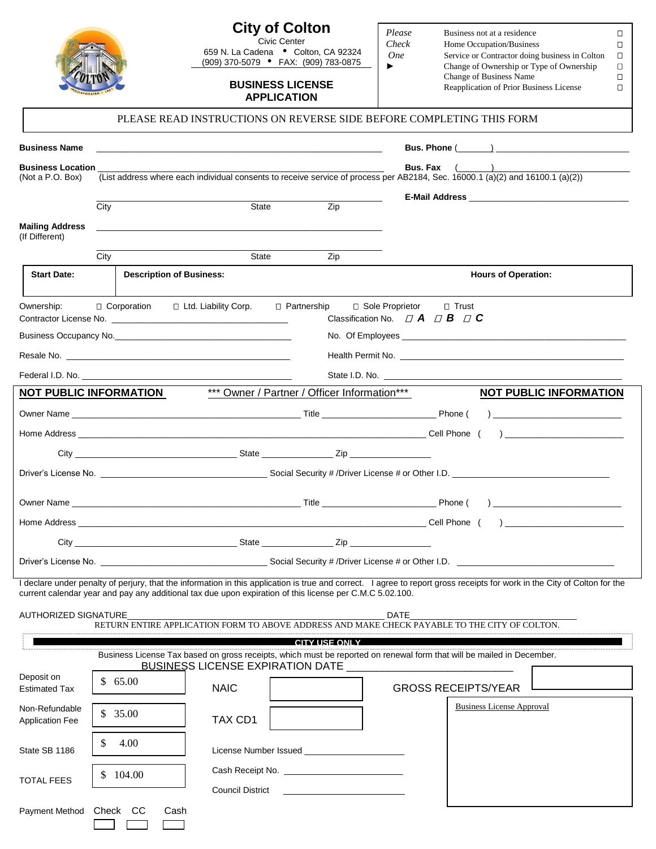|                                                                                                                                                                                                                                                                                                      |                                                                                                                                                       |             | <b>City of Colton</b><br>Civic Center<br>659 N. La Cadena • Colton, CA 92324<br>(909) 370-5079 • FAX: (909) 783-0875<br><b>BUSINESS LICENSE</b><br><b>APPLICATION</b><br>PLEASE READ INSTRUCTIONS ON REVERSE SIDE BEFORE COMPLETING THIS FORM | Please<br>Check<br><b>One</b><br>► | Business not at a residence<br>□<br>Home Occupation/Business<br>$\Box$<br>Service or Contractor doing business in Colton<br>О<br>Change of Ownership or Type of Ownership<br>П<br>Change of Business Name<br>Ω<br>Reapplication of Prior Business License<br>П |  |  |  |  |
|------------------------------------------------------------------------------------------------------------------------------------------------------------------------------------------------------------------------------------------------------------------------------------------------------|-------------------------------------------------------------------------------------------------------------------------------------------------------|-------------|-----------------------------------------------------------------------------------------------------------------------------------------------------------------------------------------------------------------------------------------------|------------------------------------|----------------------------------------------------------------------------------------------------------------------------------------------------------------------------------------------------------------------------------------------------------------|--|--|--|--|
|                                                                                                                                                                                                                                                                                                      |                                                                                                                                                       |             |                                                                                                                                                                                                                                               |                                    |                                                                                                                                                                                                                                                                |  |  |  |  |
| <b>Business Name</b>                                                                                                                                                                                                                                                                                 |                                                                                                                                                       |             | <u> 1999 - Jan James Sammer, mars and de la propinsie de la propinsie de la propinsie de la propinsie de la propi</u>                                                                                                                         |                                    |                                                                                                                                                                                                                                                                |  |  |  |  |
| <b>Business Location</b><br>(Not a P.O. Box)                                                                                                                                                                                                                                                         | <b>Bus.</b> Fax $($<br>(List address where each individual consents to receive service of process per AB2184, Sec. 16000.1 (a)(2) and 16100.1 (a)(2)) |             |                                                                                                                                                                                                                                               |                                    |                                                                                                                                                                                                                                                                |  |  |  |  |
|                                                                                                                                                                                                                                                                                                      |                                                                                                                                                       |             |                                                                                                                                                                                                                                               |                                    |                                                                                                                                                                                                                                                                |  |  |  |  |
|                                                                                                                                                                                                                                                                                                      | City                                                                                                                                                  | State       | Zip                                                                                                                                                                                                                                           |                                    |                                                                                                                                                                                                                                                                |  |  |  |  |
| <b>Mailing Address</b><br>(If Different)                                                                                                                                                                                                                                                             |                                                                                                                                                       |             |                                                                                                                                                                                                                                               |                                    |                                                                                                                                                                                                                                                                |  |  |  |  |
|                                                                                                                                                                                                                                                                                                      | City                                                                                                                                                  | State       | Zip                                                                                                                                                                                                                                           |                                    |                                                                                                                                                                                                                                                                |  |  |  |  |
| <b>Start Date:</b>                                                                                                                                                                                                                                                                                   | <b>Description of Business:</b>                                                                                                                       |             |                                                                                                                                                                                                                                               |                                    | <b>Hours of Operation:</b>                                                                                                                                                                                                                                     |  |  |  |  |
| □ Sole Proprietor<br>$\Box$ Corporation $\Box$ Ltd. Liability Corp.<br>□ Partnership<br>Ownership:<br>□ Trust<br>Classification No. $\Box$ <b>A</b> $\Box$ <b>B</b> $\Box$ <b>C</b><br>Contractor License No. 2008 - 2009 - 2009 - 2010 - 2010 - 2010 - 2010 - 2010 - 2010 - 2010 - 2010 - 2010 - 20 |                                                                                                                                                       |             |                                                                                                                                                                                                                                               |                                    |                                                                                                                                                                                                                                                                |  |  |  |  |
|                                                                                                                                                                                                                                                                                                      |                                                                                                                                                       |             |                                                                                                                                                                                                                                               |                                    |                                                                                                                                                                                                                                                                |  |  |  |  |
|                                                                                                                                                                                                                                                                                                      |                                                                                                                                                       |             |                                                                                                                                                                                                                                               |                                    |                                                                                                                                                                                                                                                                |  |  |  |  |
|                                                                                                                                                                                                                                                                                                      |                                                                                                                                                       |             |                                                                                                                                                                                                                                               |                                    |                                                                                                                                                                                                                                                                |  |  |  |  |
| *** Owner / Partner / Officer Information***<br><b>NOT PUBLIC INFORMATION</b><br><b>NOT PUBLIC INFORMATION</b>                                                                                                                                                                                       |                                                                                                                                                       |             |                                                                                                                                                                                                                                               |                                    |                                                                                                                                                                                                                                                                |  |  |  |  |
|                                                                                                                                                                                                                                                                                                      |                                                                                                                                                       |             |                                                                                                                                                                                                                                               |                                    |                                                                                                                                                                                                                                                                |  |  |  |  |
|                                                                                                                                                                                                                                                                                                      |                                                                                                                                                       |             |                                                                                                                                                                                                                                               |                                    |                                                                                                                                                                                                                                                                |  |  |  |  |
|                                                                                                                                                                                                                                                                                                      |                                                                                                                                                       |             |                                                                                                                                                                                                                                               |                                    |                                                                                                                                                                                                                                                                |  |  |  |  |
|                                                                                                                                                                                                                                                                                                      |                                                                                                                                                       |             |                                                                                                                                                                                                                                               |                                    |                                                                                                                                                                                                                                                                |  |  |  |  |
|                                                                                                                                                                                                                                                                                                      |                                                                                                                                                       |             |                                                                                                                                                                                                                                               |                                    |                                                                                                                                                                                                                                                                |  |  |  |  |
|                                                                                                                                                                                                                                                                                                      |                                                                                                                                                       |             |                                                                                                                                                                                                                                               |                                    | Phone (                                                                                                                                                                                                                                                        |  |  |  |  |
|                                                                                                                                                                                                                                                                                                      |                                                                                                                                                       |             |                                                                                                                                                                                                                                               |                                    |                                                                                                                                                                                                                                                                |  |  |  |  |
|                                                                                                                                                                                                                                                                                                      |                                                                                                                                                       |             |                                                                                                                                                                                                                                               |                                    |                                                                                                                                                                                                                                                                |  |  |  |  |
|                                                                                                                                                                                                                                                                                                      |                                                                                                                                                       |             |                                                                                                                                                                                                                                               |                                    |                                                                                                                                                                                                                                                                |  |  |  |  |
| I declare under penalty of perjury, that the information in this application is true and correct. I agree to report gross receipts for work in the City of Colton for the<br>current calendar year and pay any additional tax due upon expiration of this license per C.M.C 5.02.100.                |                                                                                                                                                       |             |                                                                                                                                                                                                                                               |                                    |                                                                                                                                                                                                                                                                |  |  |  |  |
| <b>AUTHORIZED SIGNATURE</b>                                                                                                                                                                                                                                                                          |                                                                                                                                                       |             |                                                                                                                                                                                                                                               | DATE                               |                                                                                                                                                                                                                                                                |  |  |  |  |
|                                                                                                                                                                                                                                                                                                      |                                                                                                                                                       |             |                                                                                                                                                                                                                                               |                                    | RETURN ENTIRE APPLICATION FORM TO ABOVE ADDRESS AND MAKE CHECK PAYABLE TO THE CITY OF COLTON.                                                                                                                                                                  |  |  |  |  |
| <b>CITY USE ONLY</b><br><u>n and the set of the set of the set of the set of the set of the set of the set of the set of the set of the set of the set of the set of the set of the set of the set of the set of the set of the set of the set of the se</u>                                         |                                                                                                                                                       |             |                                                                                                                                                                                                                                               |                                    |                                                                                                                                                                                                                                                                |  |  |  |  |
| Deposit on                                                                                                                                                                                                                                                                                           |                                                                                                                                                       |             | BUSINESS LICENSE EXPIRATION DATE ______________                                                                                                                                                                                               |                                    |                                                                                                                                                                                                                                                                |  |  |  |  |
| <b>Estimated Tax</b>                                                                                                                                                                                                                                                                                 | \$65.00                                                                                                                                               | <b>NAIC</b> |                                                                                                                                                                                                                                               |                                    | <b>GROSS RECEIPTS/YEAR</b>                                                                                                                                                                                                                                     |  |  |  |  |
| Non-Refundable<br><b>Application Fee</b>                                                                                                                                                                                                                                                             | \$35.00                                                                                                                                               | TAX CD1     |                                                                                                                                                                                                                                               |                                    | <b>Business License Approval</b>                                                                                                                                                                                                                               |  |  |  |  |
| State SB 1186                                                                                                                                                                                                                                                                                        | 4.00<br>S                                                                                                                                             |             |                                                                                                                                                                                                                                               |                                    |                                                                                                                                                                                                                                                                |  |  |  |  |
|                                                                                                                                                                                                                                                                                                      | \$104.00                                                                                                                                              |             |                                                                                                                                                                                                                                               |                                    |                                                                                                                                                                                                                                                                |  |  |  |  |
| <b>TOTAL FEES</b>                                                                                                                                                                                                                                                                                    | Council District <u>Council</u> District                                                                                                              |             |                                                                                                                                                                                                                                               |                                    |                                                                                                                                                                                                                                                                |  |  |  |  |
| Payment Method                                                                                                                                                                                                                                                                                       | Check CC<br>Cash                                                                                                                                      |             |                                                                                                                                                                                                                                               |                                    |                                                                                                                                                                                                                                                                |  |  |  |  |